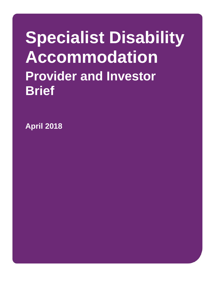# **Specialist Disability Accommodation Provider and Investor Brief**

**April 2018**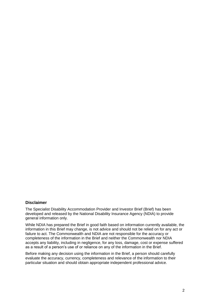#### <span id="page-1-0"></span>**Disclaimer**

The Specialist Disability Accommodation Provider and Investor Brief (Brief) has been developed and released by the National Disability Insurance Agency (NDIA) to provide general information only.

While NDIA has prepared the Brief in good faith based on information currently available, the information in this Brief may change, is not advice and should not be relied on for any act or failure to act. The Commonwealth and NDIA are not responsible for the accuracy or completeness of the information in the Brief and neither the Commonwealth nor NDIA accepts any liability, including in negligence, for any loss, damage, cost or expense suffered as a result of a person's use of or reliance on any of the information in the Brief.

Before making any decision using the information in the Brief, a person should carefully evaluate the accuracy, currency, completeness and relevance of the information to their particular situation and should obtain appropriate independent professional advice.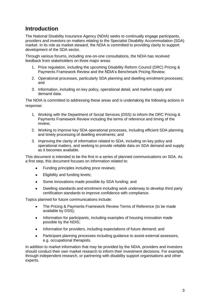# **Introduction**

The National Disability Insurance Agency (NDIA) seeks to continually engage participants, providers and investors on matters relating to the Specialist Disability Accommodation (SDA) market. In its role as market steward, the NDIA is committed to providing clarity to support development of the SDA sector.

Through various forums, including one-on-one consultations, the NDIA has received feedback from stakeholders on three major areas:

- 1. Price regulation, including the upcoming Disability Reform Council (DRC) Pricing & Payments Framework Review and the NDIA's Benchmark Pricing Review;
- 2. Operational processes, particularly SDA planning and dwelling enrolment processes; and
- 3. Information, including on key policy, operational detail, and market supply and demand data.

The NDIA is committed to addressing these areas and is undertaking the following actions in response:

- 1. Working with the Department of Social Services (DSS) to inform the DRC Pricing & Payments Framework Review including the terms of reference and timing of the review;
- 2. Working to improve key SDA operational processes, including efficient SDA planning and timely processing of dwelling enrolments; and
- 3. Improving the clarity of information related to SDA, including on key policy and operational matters, and seeking to provide reliable data on SDA demand and supply as it becomes available.

This document is intended to be the first in a series of planned communications on SDA. As a first step, this document focuses on information related to:

- Funding principles including price reviews:
- Eligibility and funding levels;
- Some innovations made possible by SDA funding; and
- Dwelling standards and enrolment including work underway to develop third party certification standards to improve confidence with compliance.

Topics planned for future communications include:

- The Pricing & Payments Framework Review Terms of Reference (to be made available by DSS);
- Information for participants, including examples of housing innovation made possible by the NDIS;
- Information for providers, including expectations of future demand; and
- Participant planning processes including guidance to assist external assessors, e.g. occupational therapists.

In addition to market information that may be provided by the NDIA, providers and investors should conduct their own market research to inform their investment decisions. For example, through independent research, or partnering with disability support organisations and other experts.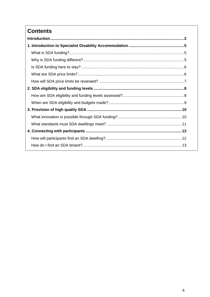# **Contents**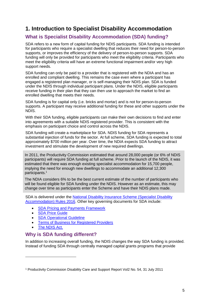# <span id="page-4-0"></span>**1. Introduction to Specialist Disability Accommodation**

## <span id="page-4-1"></span>**What is Specialist Disability Accommodation (SDA) funding?**

SDA refers to a new form of capital funding for NDIS participants. SDA funding is intended for participants who require a specialist dwelling that reduces their need for person-to-person supports, or improves the efficiency of the delivery of person-to-person supports. SDA funding will only be provided for participants who meet the eligibility criteria. Participants who meet the eligibility criteria will have an extreme functional impairment and/or very high support needs.

SDA funding can only be paid to a provider that is registered with the NDIA and has an enrolled and compliant dwelling. This remains the case even where a participant has engaged a registered plan manager, or is self-managing their NDIS plan. SDA is funded under the NDIS through individual participant plans. Under the NDIS, eligible participants receive funding in their plan that they can then use to approach the market to find an enrolled dwelling that meets their needs.

SDA funding is for capital only (i.e. bricks and mortar) and is not for person-to-person supports. A participant may receive additional funding for these and other supports under the NDIS.

With their SDA funding, eligible participants can make their own decisions to find and enter into agreements with a suitable NDIS registered provider. This is consistent with the emphasis on participant choice and control across the NDIS.

SDA funding will create a marketplace for SDA. NDIS funding for SDA represents a substantial injection of funds for the sector. At full scheme, SDA funding is expected to total approximately \$700 million per year. Over time, the NDIA expects SDA funding to attract investment and stimulate the development of new required dwellings.

In 2011, the Productivity Commission estimated that around 28,000 people (or 6% of NDIS participants) will require SDA funding at full scheme. Prior to the launch of the NDIS, it was estimated that there was enough existing specialist accommodation for 15,700 people, implying the need for enough new dwellings to accommodate an additional 12,300 participants.<sup>1</sup>

The NDIA considers 6% to be the best current estimate of the number of participants who will be found eligible for SDA funding under the NDIS. However as an estimate, this may change over time as participants enter the Scheme and have their NDIS plans made.

SDA is delivered under the [National Disability Insurance Scheme \(Specialist Disability](https://www.legislation.gov.au/Details/F2017L00209)  [Accommodation\) Rules 2016.](https://www.legislation.gov.au/Details/F2017L00209) Other key governing documents for SDA include:

- [SDA Pricing and Payments Framework](https://www.ndis.gov.au/html/sites/default/files/documents/DRC%2013%20nov%202015%204%20-%20Att%20A%20SDA%20Pricing%20payments%20Framew.DOCX)
- [SDA Price Guide](https://www.ndis.gov.au/medias/bin/documents/he0/hf4/8802881929246/SDA-Price-Guide-17-18.docx)
- [SDA Operational Guideline](https://www.ndis.gov.au/Operational-Guideline/SDA-1)
- [Terms of Business for Registered Providers](https://www.ndis.gov.au/html/sites/default/files/documents/Provider/TOB.pdf)
- [The NDIS Act.](https://www.ndis.gov.au/about-us/governance/legislation.html)

-

## <span id="page-4-2"></span>**Why is SDA funding different?**

In addition to increasing overall funding, the NDIS changes the way SDA funding is provided. Instead of funding SDA through centrally managed capital grants programs that provide

<sup>1</sup> Productivity Commission Disability Care and Support Report Vol2 No. 54, 31 July 2011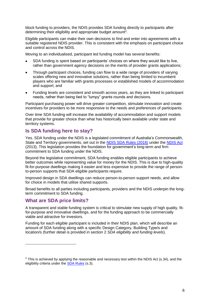block funding to providers, the NDIS provides SDA funding directly to participants after determining their eligibility and appropriate budget amount<sup>2</sup>.

Eligible participants can make their own decisions to find and enter into agreements with a suitable registered NDIS provider. This is consistent with the emphasis on participant choice and control across the NDIS.

Moving to an individualised, participant led funding model has several benefits:

- SDA funding is spent based on participants' choices on where they would like to live, rather than government agency decisions on the merits of provider grants applications;
- Through participant choices, funding can flow to a wide range of providers of varying scales offering new and innovative solutions, rather than being limited to incumbent players who are familiar with grants processes or established models of accommodation and support; and
- Funding levels are consistent and smooth across years, as they are linked to participant needs, rather than being tied to "lumpy" grants rounds and decisions.

Participant purchasing power will drive greater competition, stimulate innovation and create incentives for providers to be more responsive to the needs and preferences of participants.

Over time SDA funding will increase the availability of accommodation and support models that provide for greater choice than what has historically been available under state and territory systems.

## <span id="page-5-0"></span>**Is SDA funding here to stay?**

Yes. SDA funding under the NDIS is a legislated commitment of Australia's Commonwealth, State and Territory governments, set out in the [NDIS SDA Rules \(2016\)](https://www.legislation.gov.au/Details/F2017L00209) under the [NDIS Act](https://www.legislation.gov.au/Details/C2016C00934) (2013). This legislation provides the foundation for government's long-term and firm commitment to SDA funding under the NDIS.

Beyond the legislative commitment, SDA funding enables eligible participants to achieve better outcomes while representing value for money for the NDIS. This is due to high-quality fit-for-purpose dwellings making it easier and less expensive to provide the range of personto-person supports that SDA eligible participants require.

Improved design in SDA dwellings can reduce person-to-person support needs, and allow for choice in models that utilise shared supports.

Broad benefits to all parties including participants, providers and the NDIS underpin the longterm commitment to SDA funding.

### <span id="page-5-1"></span>**What are SDA price limits?**

-

A transparent and stable funding system is critical to stimulate new supply of high quality, fitfor-purpose and innovative dwellings, and for the funding approach to be commercially viable and attractive for investors.

Funding for each eligible participant is included in their NDIS plan, which will describe an amount of SDA funding along with a specific Design Category, Building Type/s and location/s (further detail is provided in section 2 *SDA eligibility and funding levels*).

 $2$  This is achieved by applying the reasonable and necessary test within the NDIS Act (s.34), and the eligibility criteria under the [SDA Rules](https://www.legislation.gov.au/Details/F2017L00209) (s.3).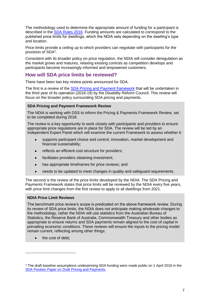The methodology used to determine the appropriate amount of funding for a participant is described in the [SDA Rules 2016.](https://www.legislation.gov.au/Series/F2017L00209/Amendments) Funding amounts are calculated to correspond to the published price limits for dwellings, which the NDIA sets depending on the dwelling's type and location.

Price limits provide a ceiling up to which providers can negotiate with participants for the provision of SDA<sup>3</sup>.

Consistent with its broader policy on price regulation, the NDIA will consider deregulation as the market grows and matures, relaxing existing controls as competition develops and participants become increasingly informed and empowered customers.

## <span id="page-6-0"></span>**How will SDA price limits be reviewed?**

There have been two key review points announced for SDA.

The first is a review of the [SDA Pricing and Payment framework](https://www.ndis.gov.au/html/sites/default/files/documents/DRC%2013%20nov%202015%204%20-%20Att%20A%20SDA%20Pricing%20payments%20Framew.DOCX) that will be undertaken in the third year of its operation (2018-19) by the Disability Reform Council. This review will focus on the broader policy surrounding SDA pricing and payments.

#### **SDA Pricing and Payment Framework Review**

The NDIA is working with DSS to inform the Pricing & Payments Framework Review, set to be completed during 2018.

The review is a key opportunity to work closely with participants and providers to ensure appropriate price regulations are in place for SDA. The review will be led by an Independent Expert Panel which will examine the current Framework to assess whether it:

- supports participant choice and control, innovation, market development and financial sustainability;
- reflects an efficient cost structure for providers;
- facilitates providers obtaining investment:
- has appropriate timeframes for price reviews: and
- needs to be updated to meet changes in quality and safeguard requirements.

The second is the review of the price limits developed by the NDIA. The SDA Pricing and Payments Framework states that price limits will be reviewed by the NDIA every five years, with price limit changes from the first review to apply to all dwellings from 2021.

#### **NDIA Price Limit Reviews**

The benchmark price review's scope is predicated on the above framework review. During its review of SDA price limits, the NDIA does not anticipate making wholesale changes to the methodology, rather the NDIA will use statistics from the Australian Bureau of Statistics, the Reserve Bank of Australia, Commonwealth Treasury and other bodies as appropriate to ensure returns and SDA payments remain aligned to the cost of capital in prevailing economic conditions. These reviews will ensure the inputs to the pricing model remain current, reflecting among other things:

• the cost of debt;

-

<sup>3</sup> The draft baseline assumptions underpinning SDA funding were made public on 1 April 2016 in the [SDA Position Paper on Draft Pricing and Payments.](https://www.ndis.gov.au/html/sites/default/files/documents/Housing/NDIS-SDA-Position-Paper-on-Draft-Pricing-and-Payments.pdf)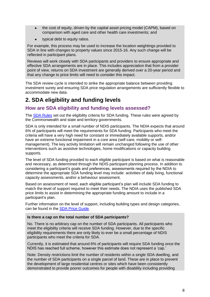- the cost of equity, driven by the capital asset pricing model (CAPM), based on comparison with aged care and other health care investments; and
- typical debt to equity ratios.

For example, this process may be used to increase the location weightings provided to SDA in line with changes to property values since 2015-16. Any such change will be reflected in participant plans.

Reviews will work closely with SDA participants and providers to ensure appropriate and effective SDA arrangements are in place. This includes appreciation that from a provider point of view, returns on SDA investment are generally derived over a 20-year period and that any change to price limits will need to consider this impact.

The SDA review cycle is intended to strike the appropriate balance between providing investment surety and ensuring SDA price regulation arrangements are sufficiently flexible to accommodate new data.

# <span id="page-7-0"></span>**2. SDA eligibility and funding levels**

## <span id="page-7-1"></span>**How are SDA eligibility and funding levels assessed?**

The [SDA Rules](https://www.legislation.gov.au/Details/F2017L00209) set out the eligibility criteria for SDA funding. These rules were agreed by the Commonwealth and state and territory governments.

SDA is only intended for a small number of NDIS participants. The NDIA expects that around 6% of participants will meet the requirements for SDA funding. Participants who meet the criteria will have a very high need for constant or immediately available supports, and/or have an extreme functional impairment in a core area (self-care, mobility or selfmanagement). The key activity limitation will remain unchanged following the use of other interventions such as assistive technologies, home modifications or capacity building supports.

The level of SDA funding provided to each eligible participant is based on what is reasonable and necessary, as determined through the NDIS participant planning process. In addition to considering a participant's goals and preferences, assessments required by the NDIA to determine the appropriate SDA funding level may include: activities of daily living, functional capacity assessments, and/or a behaviour assessment.

Based on assessment of need, each eligible participant's plan will include SDA funding to match the level of support required to meet their needs. The NDIA uses the published SDA price limits to assist in determining the appropriate funding amount to include in a participant's plan.

Further information on the level of support, including building types and design categories, can be found in the [SDA Price Guide.](https://www.ndis.gov.au/medias/bin/documents/he0/hf4/8802881929246/SDA-Price-Guide-17-18.docx)

#### **Is there a cap on the total number of SDA participants?**

No. There is no arbitrary cap on the number of SDA participants. All participants who meet the eligibility criteria will receive SDA funding. However, due to the specific eligibility requirements there are only likely to ever be a small percentage of NDIS participants who meet the criteria for SDA.

Currently, it is estimated that around 6% of participants will require SDA funding once the NDIS has reached full scheme, however this estimate does not represent a 'cap.'

Note: Density restrictions limit the number of residents within a single SDA dwelling, and the number of SDA participants on a single parcel of land. These are in place to prevent the development of large residential centres or sites which have been consistently demonstrated to provide poorer outcomes for people with disability including providing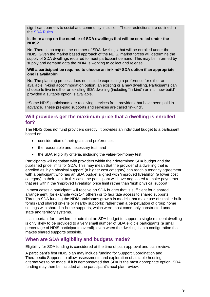significant barriers to social and community inclusion. These restrictions are outlined in the [SDA Rules.](https://www.legislation.gov.au/Details/F2017L00209)

#### **Is there a cap on the number of SDA dwellings that will be enrolled under the NDIS?**

No. There is no cap on the number of SDA dwellings that will be enrolled under the NDIS. Given the market based approach of the NDIS, market forces will determine the supply of SDA dwellings required to meet participant demand. This may be informed by supply and demand data the NDIA is working to collect and release.

#### **Will a participant be required to choose an in-kind\* SDA option if an appropriate one is available?**

No. The planning process does not include expressing a preference for either an available in-kind accommodation option, an existing or a new dwelling. Participants can choose to live in either an existing SDA dwelling (including "in-kind") or in a 'new build' provided a suitable option is available.

\*Some NDIS participants are receiving services from providers that have been paid in advance. These pre-paid supports and services are called "in-kind".

## **Will providers get the maximum price that a dwelling is enrolled for?**

The NDIS does not fund providers directly, it provides an individual budget to a participant based on:

- consideration of their goals and preferences;
- the reasonable and necessary test; and
- the SDA eligibility criteria, including the value-for-money test.

Participants will negotiate with providers within their determined SDA budget and the published price limits for SDA. This may mean that the provider of a dwelling that is enrolled as 'high physical support' (a higher cost category) can reach a tenancy agreement with a participant who has an SDA budget aligned with 'improved liveability' (a lower cost category) in their plan. In this case the participant will have negotiated to make payments that are within the 'improved liveability' price limit rather than 'high physical support.'

In most cases a participant will receive an SDA budget that is sufficient for a shared arrangement (for example with 1-4 others) or to facilitate access to shared supports. Through SDA funding the NDIA anticipates growth in models that make use of smaller built forms (and shared on-site or nearby supports) rather than a perpetuation of group home settings with shared in-home supports, which were most commonly constructed under state and territory systems.

It is important for providers to note that an SDA budget to support a single resident dwelling is only likely to be provided to a very small number of SDA eligible participants (a small percentage of NDIS participants overall), even when the dwelling is in a configuration that makes shared supports possible.

## <span id="page-8-0"></span>**When are SDA eligibility and budgets made?**

Eligibility for SDA funding is considered at the time of plan approval and plan review.

A participant's first NDIS plan may include funding for Support Coordination and Therapeutic Supports to allow assessments and exploration of suitable housing alternatives to be made. If it is demonstrated that SDA is the most appropriate option, SDA funding may then be included at the participant's next plan review.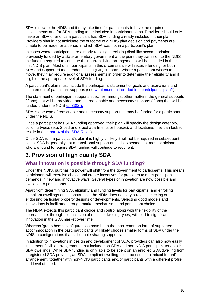SDA is new to the NDIS and it may take time for participants to have the required assessments and for SDA funding to be included in participant plans. Providers should only make an SDA offer once a participant has SDA funding already included in their plan. Providers should not anticipate the outcome of a NDIS plan decision and payments are unable to be made for a period in which SDA was not in a participant's plan.

In cases where participants are already residing in existing disability accommodation previously funded by a state or territory government at the point they transition to the NDIS, the funding required to continue their current living arrangements will be included in their first NDIS plan. Most often participants in this circumstance will receive funding for both SDA and Supported Independent Living (SIL) supports. Where a participant wishes to move, they may require additional assessments in order to determine their eligibility and if eligible, the appropriate level of SDA funding.

A participant's plan must include the participant's statement of goals and aspirations and a statement of participant supports (see [what must be included in a participant's plan?\)](https://www.ndis.gov.au/operational-guideline/planning/planning-general-matters).

The statement of participant supports specifies, amongst other matters, the general supports (if any) that will be provided, and the reasonable and necessary supports (if any) that will be funded under the NDIS (s. [33\(2\)\).](https://www.legislation.gov.au/Details/C2013A00020)

SDA is one type of reasonable and necessary support that may be funded for a participant under the NDIS.

Once a participant has SDA funding approved, their plan will specify the design category, building type/s (e.g. 2 bed and 3 bed apartments or houses), and location/s they can look to reside in [\(see part 4 of the SDA Rules\)](https://www.legislation.gov.au/Details/F2017L00209/Html/Text#_Toc256000044).

Once SDA is in a participant's plan it is highly unlikely it will not be required in subsequent plans. SDA is generally not a transitional support and it is expected that most participants who are found to require SDA funding will continue to require it.

# <span id="page-9-0"></span>**3. Provision of high quality SDA**

## <span id="page-9-1"></span>**What innovation is possible through SDA funding?**

Under the NDIS, purchasing power will shift from the government to participants. This means participants will exercise choice and create incentives for providers to meet participant demands in new and innovative ways. Several types of innovation are now possible and available to participants.

Apart from determining SDA eligibility and funding levels for participants, and enrolling compliant dwellings once constructed, the NDIA does not play a role in selecting or endorsing particular property designs or developments. Selecting good models and innovations is facilitated through market mechanisms and participant choice.

The NDIA expects this participant choice and control along with the flexibility of the approach, i.e. through the inclusion of multiple dwelling types, will lead to significant innovation in the SDA market over time.

Whereas 'group home' configurations have been the most common form of supported accommodation in the past, participants will likely choose smaller forms of SDA under the NDIS in configurations that still enable sharing supports.

In addition to innovations in design and development of SDA, providers can also now easily implement flexible arrangements that include non-SDA and non-NDIS participant tenants in SDA dwellings. While SDA funding is only able to be spent on an enrolled SDA dwelling from a registered SDA provider, an SDA compliant dwelling could be used in a 'mixed tenant' arrangement, together with non-NDIS participants and/or participants with a different profile and level of need.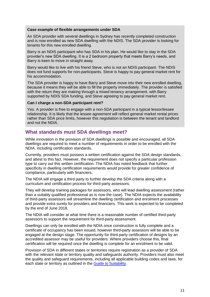#### **Case example of flexible arrangements under SDA**

An SDA provider with several dwellings in Sydney has recently completed construction and is now enrolled as new SDA dwelling with the NDIS. The SDA provider is looking for tenants for this new enrolled dwelling.

Barry is an NDIS participant who has SDA in his plan. He would like to stay in the SDA provider's new SDA dwelling. It is a 2 bedroom property that meets Barry's needs, and Barry is keen to move in straight away.

Barry would like to live with his friend Steve, who is not an NDIS participant. The NDIS does not fund supports for non-participants. Steve is happy to pay general market rent for his accommodation.

The SDA provider is happy to have Barry and Steve move into their new enrolled dwelling, because it means they will be able to fill the property immediately. The provider is satisfied with the return they are making through a mixed tenancy arrangement, with Barry supported by NDIS SDA funding, and Steve agreeing to pay general market rent.

#### **Can I charge a non-SDA participant rent?**

Yes. A provider is free to engage with a non-SDA participant in a typical lessor/lessee relationship. It is likely that the lessee agreement will reflect general market rental prices rather than SDA price limits, however this negotiation is between the tenant and landlord and not the NDIA.

## <span id="page-10-0"></span>**What standards must SDA dwellings meet?**

While innovation in the provision of SDA dwellings is possible and encouraged, all SDA dwellings are required to meet a number of requirements in order to be enrolled with the NDIA, including certification standards.

Currently, providers must possess a written certification against the SDA design standards, and attest to this fact. However, the requirement does not specify a particular profession type to carry out this written certification. The NDIA has noted feedback that further specificity in dwelling certification requirements would provide for greater confidence of compliance, particularly with financiers.

The NDIA will engage a third party to further develop the SDA criteria along with a curriculum and certification process for third-party assessors.

They will develop training packages for assessors, who will lead dwelling assessment (rather than a suitably qualified professional as is now the case). The NDIA expects the availability of third-party assessors will streamline the dwelling certification and enrolment processes and provide extra surety for providers and financiers. This work is expected to be completed by the end of June 2018.

The NDIA will consider at what time there is a reasonable number of certified third-party assessors to support the requirement for third-party assessment.

Dwellings can only be enrolled with the NDIA once construction is fully complete and a certificate of occupancy has been issued, however third-party assessors will be able to be engaged at the design stage. The opportunity for third-party certification of designs by an accredited assessor may be useful for providers. Where providers choose this, final certification will be required once the dwelling is complete for an enrolment to be valid.

Provision of SDA in different states or territories require registration as a provider of SDA with the relevant state or territory quality and safeguards authority. Providers must also meet the quality and safeguard requirements, including all applicable building codes and laws, for each state or territory as outlined in the [Guide to Suitability.](https://www.ndis.gov.au/medias/documents/hc1/h8d/8800514244638/SDA-Guide-to-Suitability.pdf)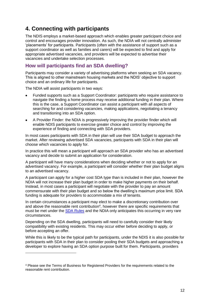# <span id="page-11-0"></span>**4. Connecting with participants**

The NDIS employs a market-based approach which enables greater participant choice and control and encourages provider innovation. As such, the NDIA will not centrally administer 'placements' for participants. Participants (often with the assistance of support such as a support coordinator as well as families and carers) will be expected to find and apply for appropriate advertised vacancies, and providers will be expected to advertise their vacancies and undertake selection processes.

## <span id="page-11-1"></span>**How will participants find an SDA dwelling?**

Participants may consider a variety of advertising platforms when seeking an SDA vacancy. This is aligned to other mainstream housing markets and the NDIS' objective to support choice and an ordinary life for participants.

The NDIA will assist participants in two ways:

-

- Funded supports such as a Support Coordinator: participants who require assistance to navigate the finding a home process may receive additional funding in their plan. Where this is the case, a Support Coordinator can assist a participant with all aspects of searching for and considering vacancies, making applications, negotiating a tenancy and transitioning into an SDA option.
- A Provider Finder: the NDIA is progressively improving the provider finder which will enable NDIS participants to exercise greater choice and control by improving the experience of finding and connecting with SDA providers.

In most cases participants with SDA in their plan will use their SDA budget to approach the market. After reviewing advertised SDA vacancies, participants with SDA in their plan will choose which vacancies to apply for.

In practice this will mean a participant will approach an SDA provider who has an advertised vacancy and decide to submit an application for consideration.

A participant will have many considerations when deciding whether or not to apply for an advertised vacancy. For example, a participant will consider whether their plan budget aligns to an advertised vacancy.

A participant can apply for a higher cost SDA type than is included in their plan, however the NDIA will not increase their plan budget in order to make higher payments on their behalf. Instead, in most cases a participant will negotiate with the provider to pay an amount commensurate with their plan budget and so below the dwelling's maximum price limit. SDA funding is adequate for providers to accommodate a mix of tenants.

In certain circumstances a participant may elect to make a discretionary contribution over and above the reasonable rent contribution<sup>4</sup>, however there are specific requirements that must be met under the [SDA Rules](https://www.legislation.gov.au/Details/F2017L00209/) and the NDIA only anticipates this occurring in very rare circumstances.

Depending on the SDA dwelling, participants will need to carefully consider their likely compatibility with existing residents. This may occur either before deciding to apply, or before accepting an offer.

While this is likely to be the typical path for participants, under the NDIS it is also possible for participants with SDA in their plan to consider pooling their SDA budgets and approaching a developer to explore having an SDA option purpose built for them. Participants, providers

<sup>4</sup> Please see the Terms of Business for Registered Providers for the requirements related to the reasonable rent contribution.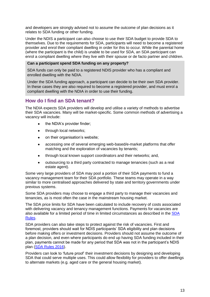and developers are strongly advised not to assume the outcome of plan decisions as it relates to SDA funding or other funding.

Under the NDIS a participant can also choose to use their SDA budget to provide SDA to themselves. Due to the requirements for SDA, participants will need to become a registered provider and enrol their compliant dwelling in order for this to occur. While the parental home (where the participant is the child) is unable to be used for SDA, an SDA participant can enrol a compliant dwelling where they live with their spouse or de facto partner and children.

#### **Can a participant spend SDA funding on any property?**

SDA funds can only be paid to a registered NDIS provider who has a compliant and enrolled dwelling with the NDIA.

Under the SDA funding approach, a participant can decide to be their own SDA provider. In these cases they are also required to become a registered provider, and must enrol a compliant dwelling with the NDIA in order to use their funding.

## <span id="page-12-0"></span>**How do I find an SDA tenant?**

The NDIA expects SDA providers will develop and utilise a variety of methods to advertise their SDA vacancies. Many will be market-specific. Some common methods of advertising a vacancy will include:

- the NDIA's provider finder;
- through local networks;
- on their organisation's website;
- accessing one of several emerging web-based/e-market platforms that offer matching and the exploration of vacancies by tenants;
- through local known support coordinators and their networks; and,
- outsourcing to a third party contracted to manage tenancies (such as a real estate agent).

Some very large providers of SDA may pool a portion of their SDA payments to fund a vacancy management team for their SDA portfolio. These teams may operate in a way similar to more centralised approaches delivered by state and territory governments under previous systems.

Some SDA providers may choose to engage a third party to manage their vacancies and tenancies, as is most often the case in the mainstream housing market.

The SDA price limits for SDA have been calculated to include recovery of costs associated with delivering vacancy and tenancy management functions. Payments for vacancies are also available for a limited period of time in limited circumstances as described in the [SDA](https://www.legislation.gov.au/Details/F2017L00209)  [Rules.](https://www.legislation.gov.au/Details/F2017L00209)

SDA providers can also take steps to protect against the risk of vacancies. First and foremost, providers should wait for NDIS participants' SDA eligibility and plan decisions before making offers or investment decisions. Providers should not assume the outcome of a plan decision, and even where participants do end up having SDA funding included in their plan, payments cannot be made for any period that SDA was not in the participant's NDIS plan [\(SDA Rules 2016\)](https://www.legislation.gov.au/Details/F2017L00209).

Providers can look to 'future proof' their investment decisions by designing and developing SDA that could serve multiple uses. This could allow flexibility for providers to offer dwellings to alternate markets (e.g. aged care or the general housing market).